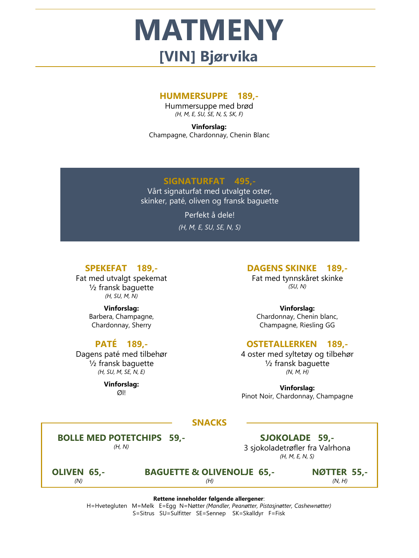## **MATMENY [VIN] Bjørvika**

## **HUMMERSUPPE 189,-**

Hummersuppe med brød *(H, M, E, SU, SE, N, S, SK, F)*

**Vinforslag:** Champagne, Chardonnay, Chenin Blanc

### **SIGNATURFAT 495,-**

Vårt signaturfat med utvalgte oster, skinker, paté, oliven og fransk baguette

> Perfekt å dele! *(H, M, E, SU, SE, N, S)*

## **SPEKEFAT 189,-**

Fat med utvalgt spekemat ½ fransk baguette *(H, SU, M, N)*

### **Vinforslag:**

Barbera, Champagne, Chardonnay, Sherry

## **PATÉ 189,-**

Dagens paté med tilbehør ½ fransk baguette *(H, SU, M, SE, N, E)*

> **Vinforslag:** Øl!

## **DAGENS SKINKE 189,-**

Fat med tynnskåret skinke *(SU, N)*

#### **Vinforslag:**

Chardonnay, Chenin blanc, Champagne, Riesling GG

### **OSTETALLERKEN 189,-**

4 oster med syltetøy og tilbehør ½ fransk baguette *(N, M, H)*

**Vinforslag:** Pinot Noir, Chardonnay, Champagne

## **SNACKS**

**BOLLE MED POTETCHIPS 59,-**

*(H, N)*

**SJOKOLADE 59,-** 3 sjokoladetrøfler fra Valrhona *(H, M, E, N, S)*

**OLIVEN 65,-** *(N)*

**BAGUETTE & OLIVENOLJE 65,-** *(H)*

**NØTTER 55,-** *(N, H)*

**Rettene inneholder følgende allergener**:

H=Hvetegluten M=Melk E=Egg N=Nøtter *(Mandler, Peanøtter, Pistasjnøtter, Cashewnøtter)*  S=Sitrus SU=Sulfitter SE=Sennep SK=Skalldyr F=Fisk